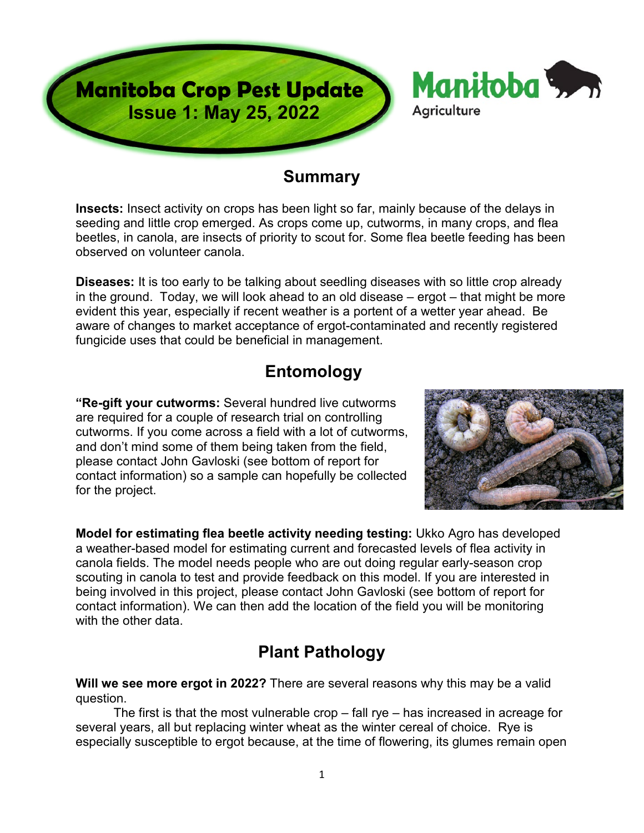

### **Summary**

**Insects:** Insect activity on crops has been light so far, mainly because of the delays in seeding and little crop emerged. As crops come up, cutworms, in many crops, and flea beetles, in canola, are insects of priority to scout for. Some flea beetle feeding has been observed on volunteer canola.

**Diseases:** It is too early to be talking about seedling diseases with so little crop already in the ground. Today, we will look ahead to an old disease – ergot – that might be more evident this year, especially if recent weather is a portent of a wetter year ahead. Be aware of changes to market acceptance of ergot-contaminated and recently registered fungicide uses that could be beneficial in management.

### **Entomology**

**"Re-gift your cutworms:** Several hundred live cutworms are required for a couple of research trial on controlling cutworms. If you come across a field with a lot of cutworms, and don't mind some of them being taken from the field, please contact John Gavloski (see bottom of report for contact information) so a sample can hopefully be collected for the project.



**Model for estimating flea beetle activity needing testing:** Ukko Agro has developed a weather-based model for estimating current and forecasted levels of flea activity in canola fields. The model needs people who are out doing regular early-season crop scouting in canola to test and provide feedback on this model. If you are interested in being involved in this project, please contact John Gavloski (see bottom of report for contact information). We can then add the location of the field you will be monitoring with the other data

# **Plant Pathology**

**Will we see more ergot in 2022?** There are several reasons why this may be a valid question.

The first is that the most vulnerable crop  $-$  fall rye  $-$  has increased in acreage for several years, all but replacing winter wheat as the winter cereal of choice. Rye is especially susceptible to ergot because, at the time of flowering, its glumes remain open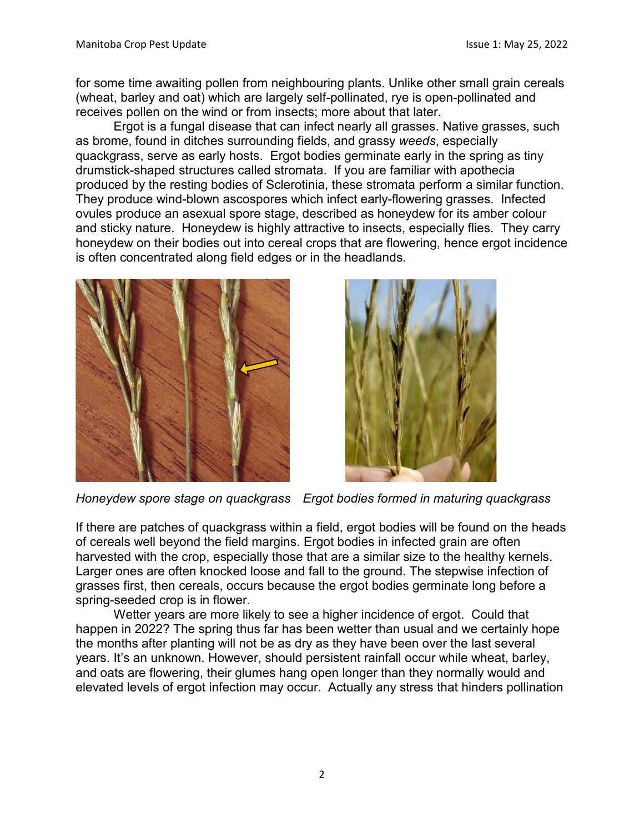for some time awaiting pollen from neighbouring plants. Unlike other small grain cereals (wheat, barley and oat) which are largely self-pollinated, rye is open-pollinated and receives pollen on the wind or from insects; more about that later.

Ergot is a fungal disease that can infect nearly all grasses. Native grasses, such as brome, found in ditches surrounding fields, and grassy *weeds*, especially quackgrass, serve as early hosts. Ergot bodies germinate early in the spring as tiny drumstick-shaped structures called stromata. If you are familiar with apothecia produced by the resting bodies of Sclerotinia, these stromata perform a similar function. They produce wind-blown ascospores which infect early-flowering grasses. Infected ovules produce an asexual spore stage, described as honeydew for its amber colour and sticky nature. Honeydew is highly attractive to insects, especially flies. They carry honeydew on their bodies out into cereal crops that are flowering, hence ergot incidence is often concentrated along field edges or in the headlands.





*Honeydew spore stage on quackgrass Ergot bodies formed in maturing quackgrass*

If there are patches of quackgrass within a field, ergot bodies will be found on the heads of cereals well beyond the field margins. Ergot bodies in infected grain are often harvested with the crop, especially those that are a similar size to the healthy kernels. Larger ones are often knocked loose and fall to the ground. The stepwise infection of grasses first, then cereals, occurs because the ergot bodies germinate long before a spring-seeded crop is in flower.

Wetter years are more likely to see a higher incidence of ergot. Could that happen in 2022? The spring thus far has been wetter than usual and we certainly hope the months after planting will not be as dry as they have been over the last several years. It's an unknown. However, should persistent rainfall occur while wheat, barley, and oats are flowering, their glumes hang open longer than they normally would and elevated levels of ergot infection may occur. Actually any stress that hinders pollination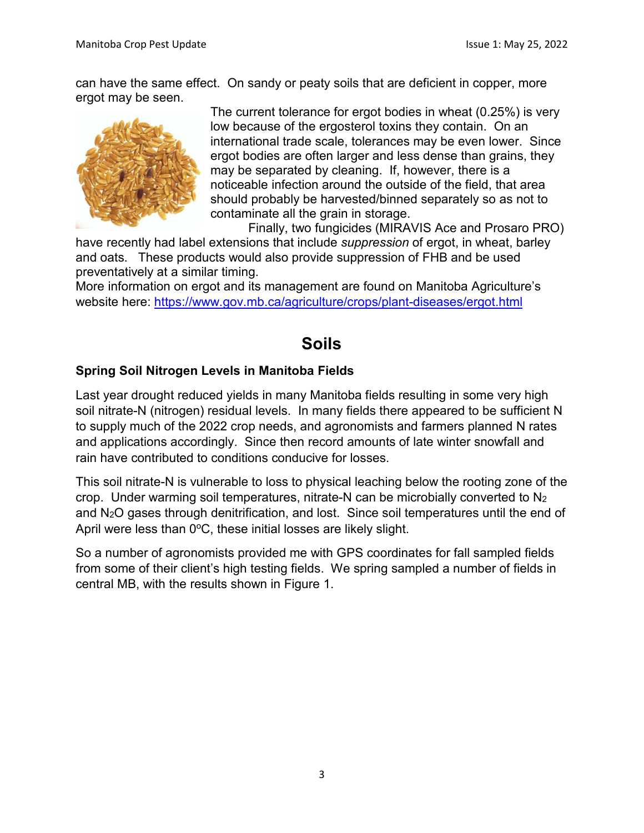can have the same effect. On sandy or peaty soils that are deficient in copper, more ergot may be seen.



The current tolerance for ergot bodies in wheat (0.25%) is very low because of the ergosterol toxins they contain. On an international trade scale, tolerances may be even lower. Since ergot bodies are often larger and less dense than grains, they may be separated by cleaning. If, however, there is a noticeable infection around the outside of the field, that area should probably be harvested/binned separately so as not to contaminate all the grain in storage.

Finally, two fungicides (MIRAVIS Ace and Prosaro PRO)

have recently had label extensions that include *suppression* of ergot, in wheat, barley and oats. These products would also provide suppression of FHB and be used preventatively at a similar timing.

More information on ergot and its management are found on Manitoba Agriculture's website here: <https://www.gov.mb.ca/agriculture/crops/plant-diseases/ergot.html>

# **Soils**

#### **Spring Soil Nitrogen Levels in Manitoba Fields**

Last year drought reduced yields in many Manitoba fields resulting in some very high soil nitrate-N (nitrogen) residual levels. In many fields there appeared to be sufficient N to supply much of the 2022 crop needs, and agronomists and farmers planned N rates and applications accordingly. Since then record amounts of late winter snowfall and rain have contributed to conditions conducive for losses.

This soil nitrate-N is vulnerable to loss to physical leaching below the rooting zone of the crop. Under warming soil temperatures, nitrate-N can be microbially converted to N2 and N2O gases through denitrification, and lost. Since soil temperatures until the end of April were less than  $0^{\circ}$ C, these initial losses are likely slight.

So a number of agronomists provided me with GPS coordinates for fall sampled fields from some of their client's high testing fields. We spring sampled a number of fields in central MB, with the results shown in Figure 1.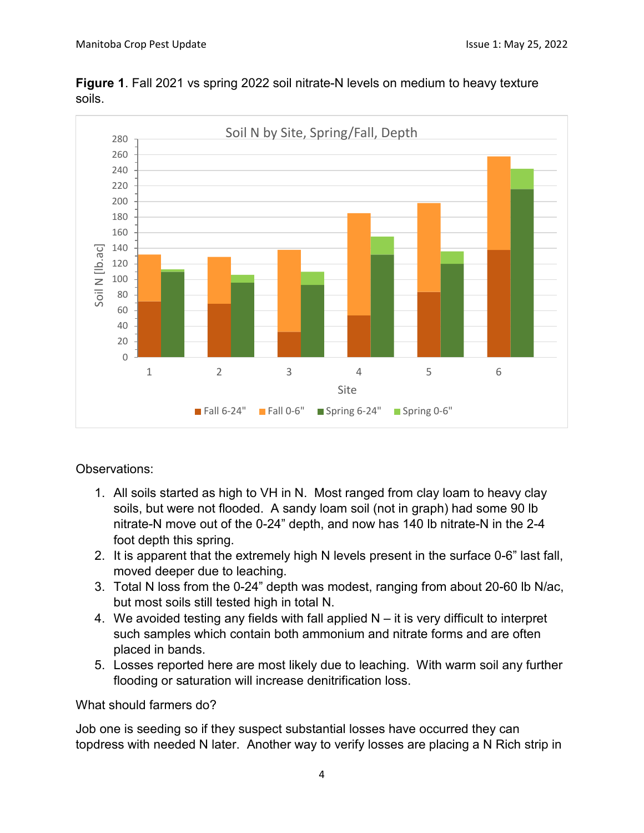

**Figure 1**. Fall 2021 vs spring 2022 soil nitrate-N levels on medium to heavy texture soils.

Observations:

- 1. All soils started as high to VH in N. Most ranged from clay loam to heavy clay soils, but were not flooded. A sandy loam soil (not in graph) had some 90 lb nitrate-N move out of the 0-24" depth, and now has 140 lb nitrate-N in the 2-4 foot depth this spring.
- 2. It is apparent that the extremely high N levels present in the surface 0-6" last fall, moved deeper due to leaching.
- 3. Total N loss from the 0-24" depth was modest, ranging from about 20-60 lb N/ac, but most soils still tested high in total N.
- 4. We avoided testing any fields with fall applied N it is very difficult to interpret such samples which contain both ammonium and nitrate forms and are often placed in bands.
- 5. Losses reported here are most likely due to leaching. With warm soil any further flooding or saturation will increase denitrification loss.

What should farmers do?

Job one is seeding so if they suspect substantial losses have occurred they can topdress with needed N later. Another way to verify losses are placing a N Rich strip in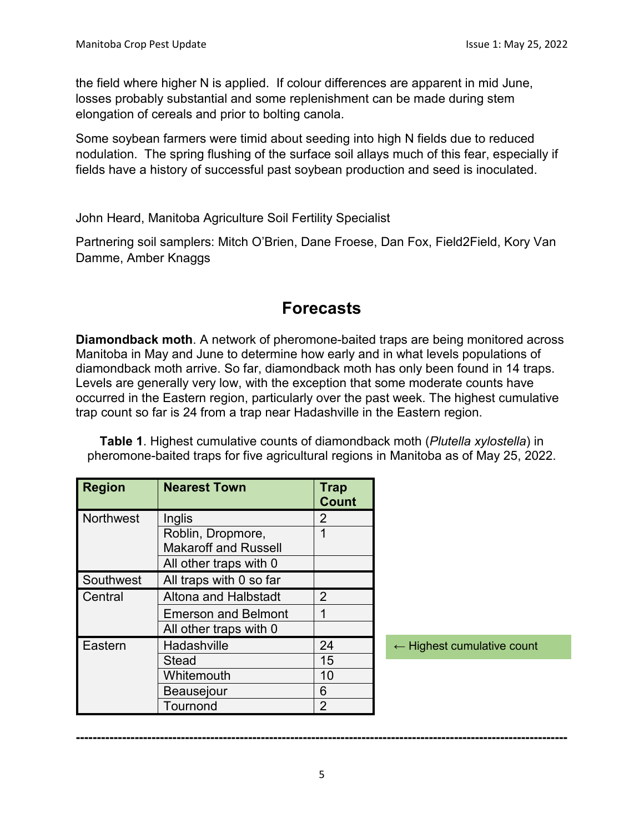the field where higher N is applied. If colour differences are apparent in mid June, losses probably substantial and some replenishment can be made during stem elongation of cereals and prior to bolting canola.

Some soybean farmers were timid about seeding into high N fields due to reduced nodulation. The spring flushing of the surface soil allays much of this fear, especially if fields have a history of successful past soybean production and seed is inoculated.

John Heard, Manitoba Agriculture Soil Fertility Specialist

Partnering soil samplers: Mitch O'Brien, Dane Froese, Dan Fox, Field2Field, Kory Van Damme, Amber Knaggs

## **Forecasts**

**Diamondback moth**. A network of pheromone-baited traps are being monitored across Manitoba in May and June to determine how early and in what levels populations of diamondback moth arrive. So far, diamondback moth has only been found in 14 traps. Levels are generally very low, with the exception that some moderate counts have occurred in the Eastern region, particularly over the past week. The highest cumulative trap count so far is 24 from a trap near Hadashville in the Eastern region.

**Table 1**. Highest cumulative counts of diamondback moth (*Plutella xylostella*) in pheromone-baited traps for five agricultural regions in Manitoba as of May 25, 2022.

| <b>Region</b>    | <b>Nearest Town</b>         | <b>Trap</b><br><b>Count</b> |
|------------------|-----------------------------|-----------------------------|
| <b>Northwest</b> | Inglis                      | 2                           |
|                  | Roblin, Dropmore,           | 1                           |
|                  | <b>Makaroff and Russell</b> |                             |
|                  | All other traps with 0      |                             |
| Southwest        | All traps with 0 so far     |                             |
| Central          | Altona and Halbstadt        | 2                           |
|                  | <b>Emerson and Belmont</b>  | 1                           |
|                  | All other traps with 0      |                             |
| Eastern          | Hadashville                 | 24                          |
|                  | <b>Stead</b>                | 15                          |
|                  | Whitemouth                  | 10                          |
|                  | Beausejour                  | 6                           |
|                  | Tournond                    | 2                           |

← Highest cumulative count

**---------------------------------------------------------------------------------------------------------------------**